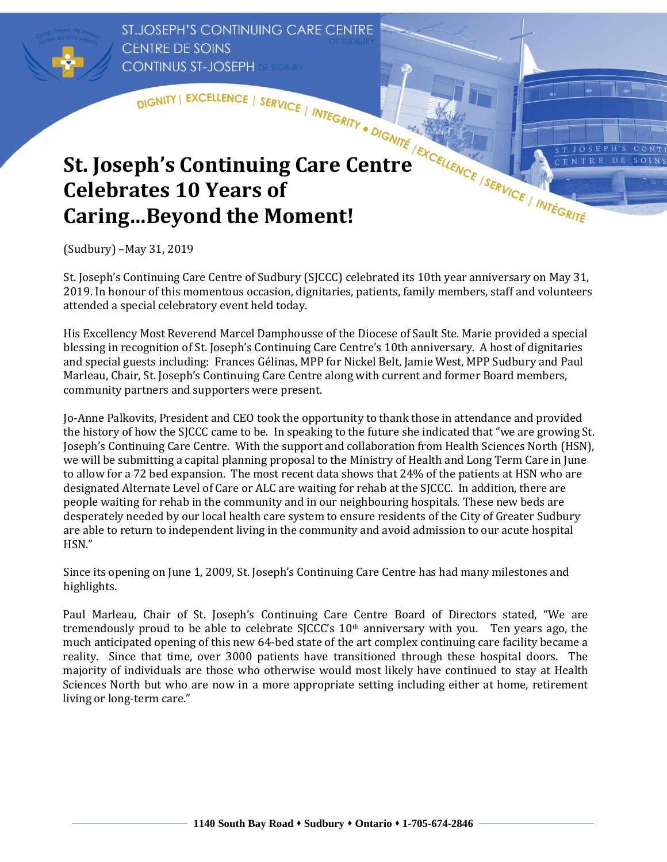**ST.JOSEPH'S CONTINUING CARE CENTRE CENTRE DE SOINS CONTINUS ST-JOSEPH DE SUDBURY** 

## DISNITY | EXCELLENCE | SERVICE | INTEGRITY . DIGNITE | EXCELLENCE | SERVICE | INTEGRITY . DIGNITE | EXCELLENCE | SERVICE | INTEGRITE **St. Joseph's Continuing Care Centre Celebrates 10 Years of Caring…Beyond the Moment!**

(Sudbury) –May 31, 2019

 St. Joseph's Continuing Care Centre of Sudbury (SJCCC) celebrated its 10th year anniversary on May 31, 2019. In honour of this momentous occasion, dignitaries, patients, family members, staff and volunteers attended a special celebratory event held today.

**JOSEPH'S** 

ENTRE DE

 $CONT$ 

SOINS

 His Excellency Most Reverend Marcel Damphousse of the Diocese of Sault Ste. Marie provided a special and special guests including: Frances Gélinas, MPP for Nickel Belt, Jamie West, MPP Sudbury and Paul blessing in recognition of St. Joseph's Continuing Care Centre's 10th anniversary. A host of dignitaries Marleau, Chair, St. Joseph's Continuing Care Centre along with current and former Board members, community partners and supporters were present.

 Jo-Anne Palkovits, President and CEO took the opportunity to thank those in attendance and provided Joseph's Continuing Care Centre. With the support and collaboration from Health Sciences North (HSN), to allow for a 72 bed expansion. The most recent data shows that 24% of the patients at HSN who are designated Alternate Level of Care or ALC are waiting for rehab at the SJCCC. In addition, there are the history of how the SJCCC came to be. In speaking to the future she indicated that "we are growing St. we will be submitting a capital planning proposal to the Ministry of Health and Long Term Care in June people waiting for rehab in the community and in our neighbouring hospitals. These new beds are desperately needed by our local health care system to ensure residents of the City of Greater Sudbury are able to return to independent living in the community and avoid admission to our acute hospital HSN."

Since its opening on June 1, 2009, St. Joseph's Continuing Care Centre has had many milestones and highlights.

tremendously proud to be able to celebrate SJCCC's 10<sup>th</sup> anniversary with you. Ten years ago, the much anticipated opening of this new 64-bed state of the art complex continuing care facility became a reality. Since that time, over 3000 patients have transitioned through these hospital doors. The majority of individuals are those who otherwise would most likely have continued to stay at Health Sciences North but who are now in a more appropriate setting including either at home, retirement living or long-term care." Paul Marleau, Chair of St. Joseph's Continuing Care Centre Board of Directors stated, "We are